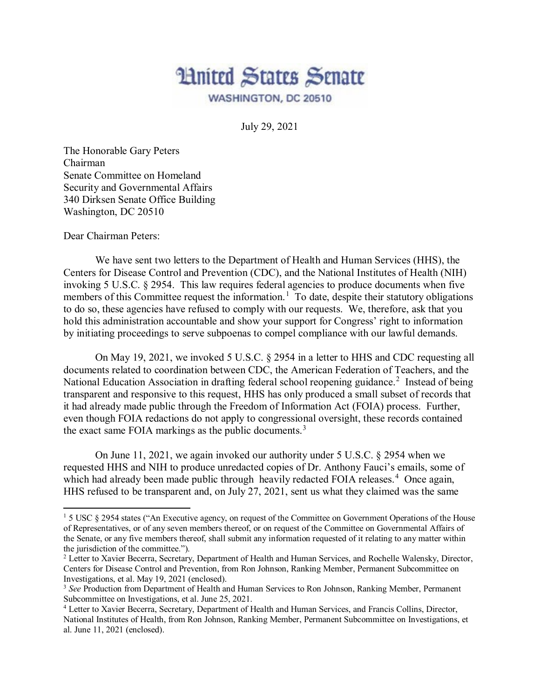

July 29, 2021

The Honorable Gary Peters Chairman Senate Committee on Homeland Security and Governmental Affairs 340 Dirksen Senate Office Building Washington, DC 20510

Dear Chairman Peters:

l

We have sent two letters to the Department of Health and Human Services (HHS), the Centers for Disease Control and Prevention (CDC), and the National Institutes of Health (NIH) invoking 5 U.S.C. § 2954. This law requires federal agencies to produce documents when five members of this Committee request the information.<sup>[1](#page-0-0)</sup> To date, despite their statutory obligations to do so, these agencies have refused to comply with our requests. We, therefore, ask that you hold this administration accountable and show your support for Congress' right to information by initiating proceedings to serve subpoenas to compel compliance with our lawful demands.

On May 19, 2021, we invoked 5 U.S.C. § 2954 in a letter to HHS and CDC requesting all documents related to coordination between CDC, the American Federation of Teachers, and the National Education Association in drafting federal school reopening guidance.<sup>[2](#page-0-1)</sup> Instead of being transparent and responsive to this request, HHS has only produced a small subset of records that it had already made public through the Freedom of Information Act (FOIA) process. Further, even though FOIA redactions do not apply to congressional oversight, these records contained the exact same FOIA markings as the public documents.<sup>[3](#page-0-2)</sup>

On June 11, 2021, we again invoked our authority under 5 U.S.C. § 2954 when we requested HHS and NIH to produce unredacted copies of Dr. Anthony Fauci's emails, some of which had already been made public through heavily redacted FOIA releases.<sup>[4](#page-0-3)</sup> Once again, HHS refused to be transparent and, on July 27, 2021, sent us what they claimed was the same

<span id="page-0-0"></span><sup>&</sup>lt;sup>1</sup> 5 USC § 2954 states ("An Executive agency, on request of the Committee on Government Operations of the House of Representatives, or of any seven members thereof, or on request of the Committee on Governmental Affairs of the Senate, or any five members thereof, shall submit any information requested of it relating to any matter within the jurisdiction of the committee.").

<span id="page-0-1"></span><sup>&</sup>lt;sup>2</sup> Letter to Xavier Becerra, Secretary, Department of Health and Human Services, and Rochelle Walensky, Director, Centers for Disease Control and Prevention, from Ron Johnson, Ranking Member, Permanent Subcommittee on Investigations, et al. May 19, 2021 (enclosed).

<span id="page-0-2"></span><sup>3</sup> *See* Production from Department of Health and Human Services to Ron Johnson, Ranking Member, Permanent Subcommittee on Investigations, et al. June 25, 2021.

<span id="page-0-3"></span><sup>4</sup> Letter to Xavier Becerra, Secretary, Department of Health and Human Services, and Francis Collins, Director, National Institutes of Health, from Ron Johnson, Ranking Member, Permanent Subcommittee on Investigations, et al. June 11, 2021 (enclosed).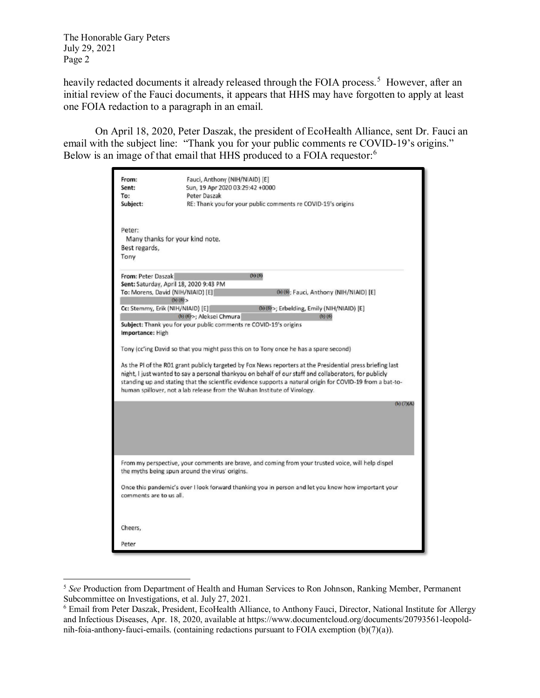The Honorable Gary Peters July 29, 2021 Page 2

 $\overline{\phantom{a}}$ 

heavily redacted documents it already released through the FOIA process.<sup>[5](#page-1-0)</sup> However, after an initial review of the Fauci documents, it appears that HHS may have forgotten to apply at least one FOIA redaction to a paragraph in an email.

On April 18, 2020, Peter Daszak, the president of EcoHealth Alliance, sent Dr. Fauci an email with the subject line: "Thank you for your public comments re COVID-19's origins." Below is an image of that email that HHS produced to a FOIA requestor:<sup>[6](#page-1-1)</sup>

| From:<br>Sent:<br>To:<br>Subject:                                                                                                                                                                                                                                                                                                                                                                                                                                                                                                                                                                                                                                                                                                                                                                                                                                                                         | Fauci, Anthony (NIH/NIAID) [E]<br>Sun, 19 Apr 2020 03:29:42 +0000<br>Peter Daszak<br>RE: Thank you for your public comments re COVID-19's origins     |
|-----------------------------------------------------------------------------------------------------------------------------------------------------------------------------------------------------------------------------------------------------------------------------------------------------------------------------------------------------------------------------------------------------------------------------------------------------------------------------------------------------------------------------------------------------------------------------------------------------------------------------------------------------------------------------------------------------------------------------------------------------------------------------------------------------------------------------------------------------------------------------------------------------------|-------------------------------------------------------------------------------------------------------------------------------------------------------|
| Peter:<br>Many thanks for your kind note.<br>Best regards,<br>Tony                                                                                                                                                                                                                                                                                                                                                                                                                                                                                                                                                                                                                                                                                                                                                                                                                                        |                                                                                                                                                       |
| From: Peter Daszak<br>$(b)$ $(6)$<br>Sent: Saturday, April 18, 2020 9:43 PM<br>To: Morens, David (NIH/NIAID) [E]<br>(b) (6); Fauci, Anthony (NIH/NIAID) [E]<br>(b) (6)<br>Cc: Stemmy, Erik (NIH/NIAID) [E]<br>(b) (6) >; Erbelding, Emily (NIH/NIAID) [E]<br>(b) (6) >; Aleksei Chmura<br>$(b)$ $(6)$<br>Subject: Thank you for your public comments re COVID-19's origins<br>Importance: High<br>Tony (cc'ing David so that you might pass this on to Tony once he has a spare second)<br>As the PI of the R01 grant publicly targeted by Fox News reporters at the Presidential press briefing last<br>night, I just wanted to say a personal thankyou on behalf of our staff and collaborators, for publicly<br>standing up and stating that the scientific evidence supports a natural origin for COVID-19 from a bat-to-<br>human spillover, not a lab release from the Wuhan Institute of Virology. |                                                                                                                                                       |
|                                                                                                                                                                                                                                                                                                                                                                                                                                                                                                                                                                                                                                                                                                                                                                                                                                                                                                           | $(b)$ $(7)(A)$                                                                                                                                        |
|                                                                                                                                                                                                                                                                                                                                                                                                                                                                                                                                                                                                                                                                                                                                                                                                                                                                                                           | From my perspective, your comments are brave, and coming from your trusted voice, will help dispel<br>the myths being spun around the virus' origins. |
| Once this pandemic's over I look forward thanking you in person and let you know how important your<br>comments are to us all.                                                                                                                                                                                                                                                                                                                                                                                                                                                                                                                                                                                                                                                                                                                                                                            |                                                                                                                                                       |
| Cheers,                                                                                                                                                                                                                                                                                                                                                                                                                                                                                                                                                                                                                                                                                                                                                                                                                                                                                                   |                                                                                                                                                       |
| Peter                                                                                                                                                                                                                                                                                                                                                                                                                                                                                                                                                                                                                                                                                                                                                                                                                                                                                                     |                                                                                                                                                       |

<span id="page-1-0"></span><sup>5</sup> *See* Production from Department of Health and Human Services to Ron Johnson, Ranking Member, Permanent Subcommittee on Investigations, et al. July 27, 2021.

<span id="page-1-1"></span><sup>6</sup> Email from Peter Daszak, President, EcoHealth Alliance, to Anthony Fauci, Director, National Institute for Allergy and Infectious Diseases, Apr. 18, 2020, available at https://www.documentcloud.org/documents/20793561-leopoldnih-foia-anthony-fauci-emails. (containing redactions pursuant to FOIA exemption  $(b)(7)(a)$ ).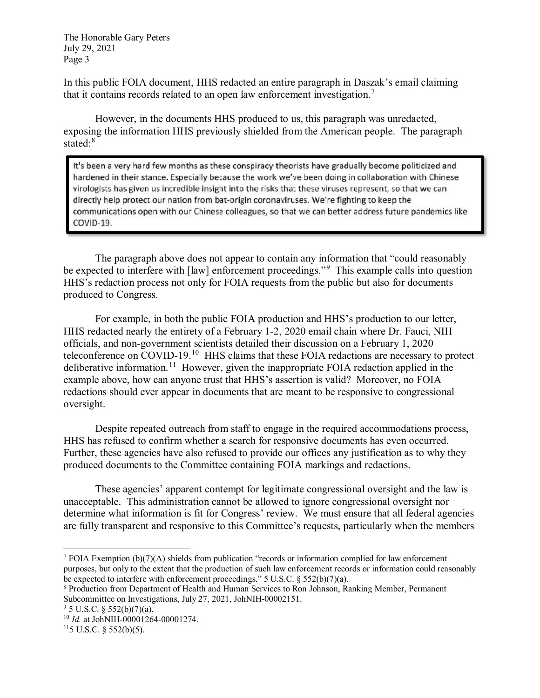The Honorable Gary Peters July 29, 2021 Page 3

In this public FOIA document, HHS redacted an entire paragraph in Daszak's email claiming that it contains records related to an open law enforcement investigation.[7](#page-2-0)

However, in the documents HHS produced to us, this paragraph was unredacted, exposing the information HHS previously shielded from the American people. The paragraph stated:<sup>[8](#page-2-1)</sup>

It's been a very hard few months as these conspiracy theorists have gradually become politicized and hardened in their stance. Especially because the work we've been doing in collaboration with Chinese virologists has given us incredible insight into the risks that these viruses represent, so that we can directly help protect our nation from bat-origin coronaviruses. We're fighting to keep the communications open with our Chinese colleagues, so that we can better address future pandemics like COVID-19.

The paragraph above does not appear to contain any information that "could reasonably be expected to interfere with [law] enforcement proceedings."<sup>[9](#page-2-2)</sup> This example calls into question HHS's redaction process not only for FOIA requests from the public but also for documents produced to Congress.

For example, in both the public FOIA production and HHS's production to our letter, HHS redacted nearly the entirety of a February 1-2, 2020 email chain where Dr. Fauci, NIH officials, and non-government scientists detailed their discussion on a February 1, 2020 teleconference on COVID-19.<sup>10</sup> HHS claims that these FOIA redactions are necessary to protect deliberative information.<sup>11</sup> However, given the inappropriate FOIA redaction applied in the example above, how can anyone trust that HHS's assertion is valid? Moreover, no FOIA redactions should ever appear in documents that are meant to be responsive to congressional oversight.

Despite repeated outreach from staff to engage in the required accommodations process, HHS has refused to confirm whether a search for responsive documents has even occurred. Further, these agencies have also refused to provide our offices any justification as to why they produced documents to the Committee containing FOIA markings and redactions.

These agencies' apparent contempt for legitimate congressional oversight and the law is unacceptable. This administration cannot be allowed to ignore congressional oversight nor determine what information is fit for Congress' review. We must ensure that all federal agencies are fully transparent and responsive to this Committee's requests, particularly when the members

 $\overline{a}$ 

<span id="page-2-0"></span><sup>&</sup>lt;sup>7</sup> FOIA Exemption  $(b)(7)(A)$  shields from publication "records or information complied for law enforcement purposes, but only to the extent that the production of such law enforcement records or information could reasonably be expected to interfere with enforcement proceedings."  $5 \text{ U.S.C.} \$  $552(b)(7)(a)$ .

<span id="page-2-1"></span><sup>&</sup>lt;sup>8</sup> Production from Department of Health and Human Services to Ron Johnson, Ranking Member, Permanent Subcommittee on Investigations, July 27, 2021, JohNIH-00002151.

<span id="page-2-2"></span> $9$  5 U.S.C. § 552(b)(7)(a).

<span id="page-2-3"></span><sup>10</sup> *Id.* at JohNIH-00001264-00001274.

<span id="page-2-4"></span> $115$  U.S.C. § 552(b)(5).